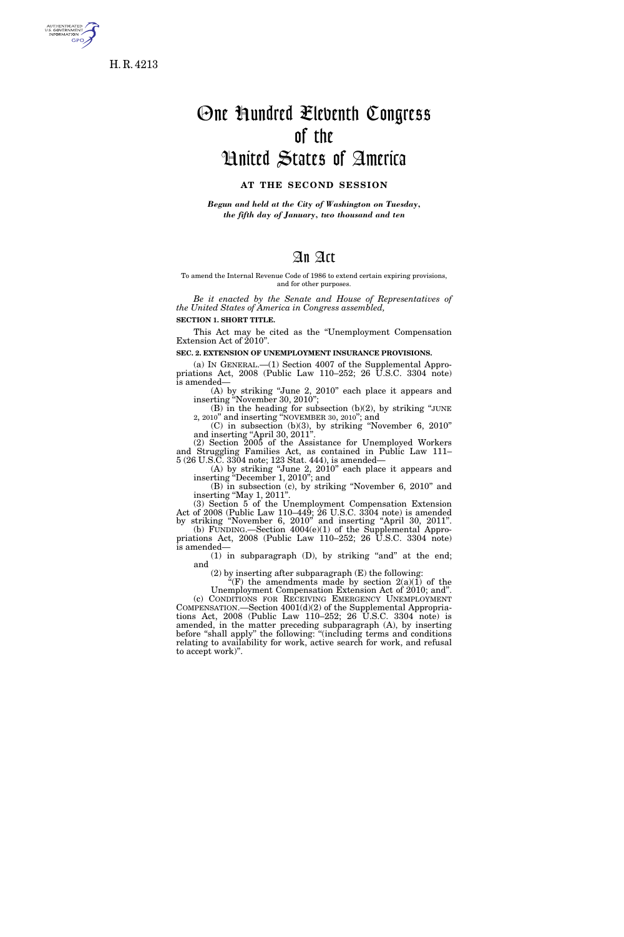

**GPO** 

# One Hundred Eleventh Congress of the United States of America

### **AT THE SECOND SESSION**

*Begun and held at the City of Washington on Tuesday, the fifth day of January, two thousand and ten* 

# An Act

#### To amend the Internal Revenue Code of 1986 to extend certain expiring provisions, and for other purposes.

*Be it enacted by the Senate and House of Representatives of the United States of America in Congress assembled,* 

**SECTION 1. SHORT TITLE.** 

This Act may be cited as the ''Unemployment Compensation Extension Act of 2010''.

**SEC. 2. EXTENSION OF UNEMPLOYMENT INSURANCE PROVISIONS.** 

(a) IN GENERAL.—(1) Section 4007 of the Supplemental Appropriations Act,  $2008$  (Public Law 110–252; 26 U.S.C. 3304 note) is amended—

(A) by striking ''June 2, 2010'' each place it appears and inserting ''November 30, 2010'';  $(B)$  in the heading for subsection  $(b)(2)$ , by striking "JUNE

2, 2010'' and inserting ''NOVEMBER 30, 2010''; and (C) in subsection (b)(3), by striking ''November 6, 2010''

and inserting "April 30, 2011". (2) Section 2005 of the Assistance for Unemployed Workers

and Struggling Families Act, as contained in Public Law 111– 5 (26 U.S.C. 3304 note; 123 Stat. 444), is amended—

(A) by striking ''June 2, 2010'' each place it appears and inserting ''December 1, 2010''; and

(B) in subsection (c), by striking ''November 6, 2010'' and inserting "May 1, 2011".

(3) Section 5 of the Unemployment Compensation Extension Act of 2008 (Public Law 110–449; 26 U.S.C. 3304 note) is amended by striking ''November 6, 2010'' and inserting ''April 30, 2011''.

(b) FUNDING.—Section 4004(e)(1) of the Supplemental Appropriations Act, 2008 (Public Law 110–252; 26 U.S.C. 3304 note) is amended—

 $(1)$  in subparagraph  $(D)$ , by striking "and" at the end; and

(2) by inserting after subparagraph (E) the following:

"(F) the amendments made by section  $2(a)(1)$  of the

Unemployment Compensation Extension Act of 2010; and''. (c) CONDITIONS FOR RECEIVING EMERGENCY UNEMPLOYMENT COMPENSATION.—Section 4001(d)(2) of the Supplemental Appropriations Act,  $2008$  (Public Law 110–252; 26  $\hat{U}$ .S.C. 3304 note) is amended, in the matter preceding subparagraph (A), by inserting before ''shall apply'' the following: ''(including terms and conditions relating to availability for work, active search for work, and refusal to accept work)''.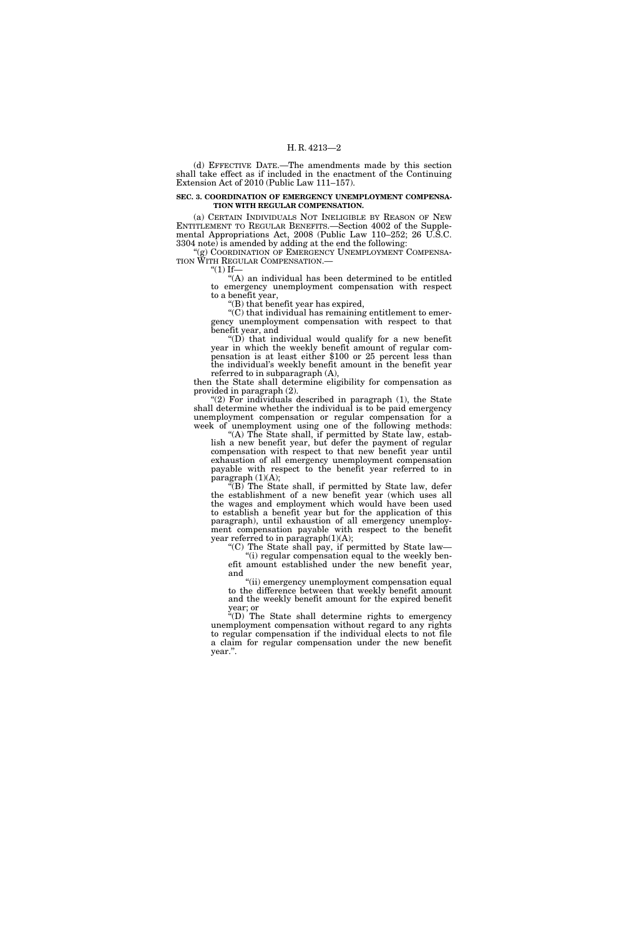(d) EFFECTIVE DATE.—The amendments made by this section shall take effect as if included in the enactment of the Continuing Extension Act of 2010 (Public Law 111–157).

#### **SEC. 3. COORDINATION OF EMERGENCY UNEMPLOYMENT COMPENSA-TION WITH REGULAR COMPENSATION.**

(a) CERTAIN INDIVIDUALS NOT INELIGIBLE BY REASON OF NEW ENTITLEMENT TO REGULAR BENEFITS.—Section 4002 of the Supplemental Appropriations Act, 2008 (Public Law 110–252; 26 U.S.C. 3304 note) is amended by adding at the end the following:

"(g) COORDINATION OF EMERGENCY UNEMPLOYMENT COMPENSA-TION WITH REGULAR COMPENSATION.—

 $"(1)$  If—

''(A) an individual has been determined to be entitled to emergency unemployment compensation with respect to a benefit year,

''(B) that benefit year has expired,

 $C$ ) that individual has remaining entitlement to emergency unemployment compensation with respect to that benefit year, and

''(D) that individual would qualify for a new benefit year in which the weekly benefit amount of regular compensation is at least either \$100 or 25 percent less than the individual's weekly benefit amount in the benefit year referred to in subparagraph (A),

then the State shall determine eligibility for compensation as provided in paragraph (2).

 $(2)$  For individuals described in paragraph  $(1)$ , the State shall determine whether the individual is to be paid emergency unemployment compensation or regular compensation for a week of unemployment using one of the following methods:

"(A) The State shall, if permitted by State law, establish a new benefit year, but defer the payment of regular compensation with respect to that new benefit year until exhaustion of all emergency unemployment compensation payable with respect to the benefit year referred to in paragraph  $(1)(A)$ ;

''(B) The State shall, if permitted by State law, defer the establishment of a new benefit year (which uses all the wages and employment which would have been used to establish a benefit year but for the application of this paragraph), until exhaustion of all emergency unemployment compensation payable with respect to the benefit year referred to in paragraph(1)(A);

''(C) The State shall pay, if permitted by State law— ''(i) regular compensation equal to the weekly ben-

efit amount established under the new benefit year, and

''(ii) emergency unemployment compensation equal to the difference between that weekly benefit amount and the weekly benefit amount for the expired benefit year; or

''(D) The State shall determine rights to emergency unemployment compensation without regard to any rights to regular compensation if the individual elects to not file a claim for regular compensation under the new benefit year.''.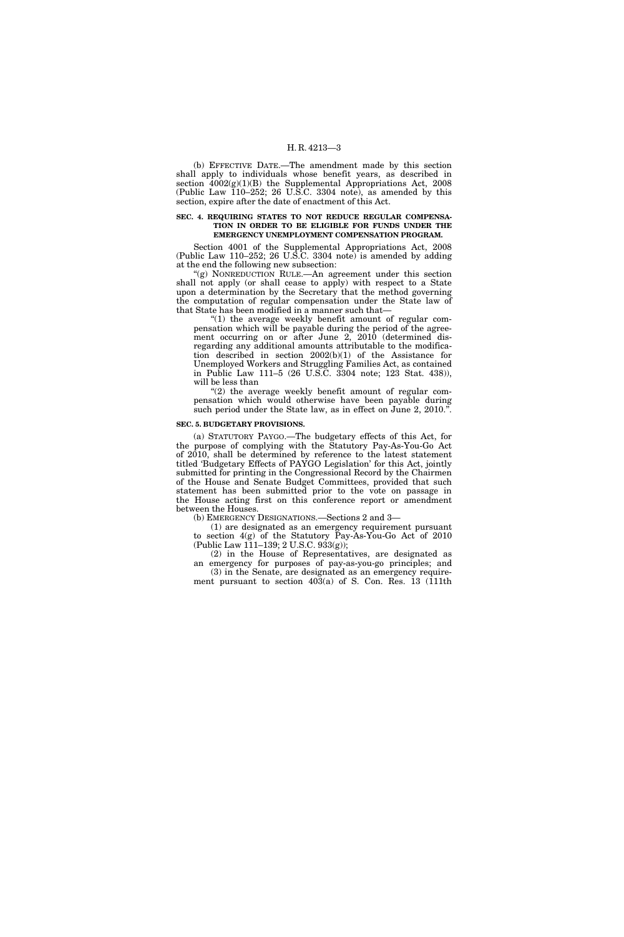#### H. R. 4213—3

(b) EFFECTIVE DATE.—The amendment made by this section shall apply to individuals whose benefit years, as described in section 4002(g)(1)(B) the Supplemental Appropriations Act, 2008 (Public Law 110–252; 26 U.S.C. 3304 note), as amended by this section, expire after the date of enactment of this Act.

#### **SEC. 4. REQUIRING STATES TO NOT REDUCE REGULAR COMPENSA-TION IN ORDER TO BE ELIGIBLE FOR FUNDS UNDER THE EMERGENCY UNEMPLOYMENT COMPENSATION PROGRAM.**

Section 4001 of the Supplemental Appropriations Act, 2008 (Public Law 110–252; 26 U.S.C. 3304 note) is amended by adding at the end the following new subsection:

"(g) NONREDUCTION RULE.—An agreement under this section shall not apply (or shall cease to apply) with respect to a State upon a determination by the Secretary that the method governing the computation of regular compensation under the State law of that State has been modified in a manner such that—

"(1) the average weekly benefit amount of regular compensation which will be payable during the period of the agreement occurring on or after June 2, 2010 (determined disregarding any additional amounts attributable to the modification described in section 2002(b)(1) of the Assistance for Unemployed Workers and Struggling Families Act, as contained in Public Law 111–5 (26 U.S.C. 3304 note; 123 Stat. 438)), will be less than

" $(2)$  the average weekly benefit amount of regular compensation which would otherwise have been payable during such period under the State law, as in effect on June 2, 2010."

#### **SEC. 5. BUDGETARY PROVISIONS.**

(a) STATUTORY PAYGO.—The budgetary effects of this Act, for the purpose of complying with the Statutory Pay-As-You-Go Act of 2010, shall be determined by reference to the latest statement titled 'Budgetary Effects of PAYGO Legislation' for this Act, jointly submitted for printing in the Congressional Record by the Chairmen of the House and Senate Budget Committees, provided that such statement has been submitted prior to the vote on passage in the House acting first on this conference report or amendment between the Houses.

(b) EMERGENCY DESIGNATIONS.—Sections 2 and 3—

(1) are designated as an emergency requirement pursuant to section 4(g) of the Statutory Pay-As-You-Go Act of 2010 (Public Law 111–139; 2 U.S.C. 933(g));

(2) in the House of Representatives, are designated as an emergency for purposes of pay-as-you-go principles; and (3) in the Senate, are designated as an emergency require-

ment pursuant to section 403(a) of S. Con. Res. 13 (111th